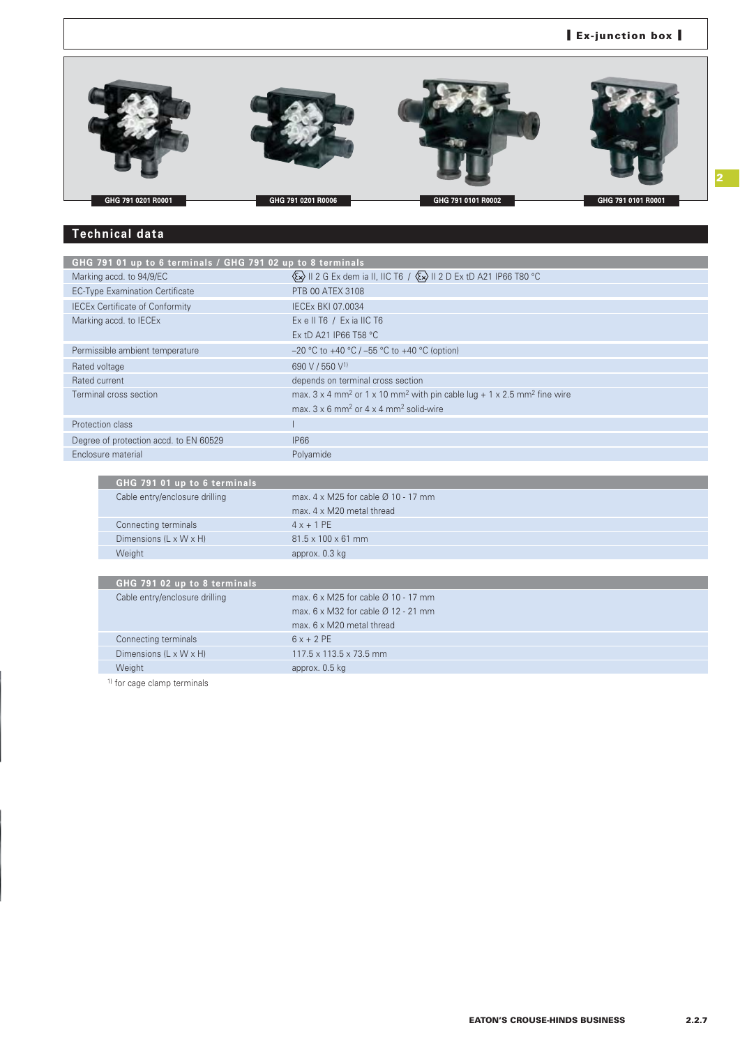

# **Technical data**

| GHG 791 01 up to 6 terminals / GHG 791 02 up to 8 terminals |                                                                                                                                  |  |  |  |  |
|-------------------------------------------------------------|----------------------------------------------------------------------------------------------------------------------------------|--|--|--|--|
| Marking accd. to 94/9/EC                                    | Ex II 2 G Ex dem ia II, IIC T6 / Ex II 2 D Ex tD A21 IP66 T80 °C                                                                 |  |  |  |  |
| <b>EC-Type Examination Certificate</b>                      | PTB 00 ATEX 3108                                                                                                                 |  |  |  |  |
| <b>IECEx Certificate of Conformity</b>                      | <b>IECEX BKI 07.0034</b>                                                                                                         |  |  |  |  |
| Marking accd. to IECEx                                      | Ex e II T6 $/$ Ex ia IIC T6                                                                                                      |  |  |  |  |
|                                                             | Ex tD A21 IP66 T58 °C                                                                                                            |  |  |  |  |
| Permissible ambient temperature                             | $-20$ °C to +40 °C / -55 °C to +40 °C (option)                                                                                   |  |  |  |  |
| Rated voltage                                               | 690 V / 550 V <sup>1)</sup>                                                                                                      |  |  |  |  |
| Rated current                                               | depends on terminal cross section                                                                                                |  |  |  |  |
| Terminal cross section                                      | max. $3 \times 4$ mm <sup>2</sup> or $1 \times 10$ mm <sup>2</sup> with pin cable lug + $1 \times 2.5$ mm <sup>2</sup> fine wire |  |  |  |  |
|                                                             | max, $3 \times 6$ mm <sup>2</sup> or $4 \times 4$ mm <sup>2</sup> solid-wire                                                     |  |  |  |  |
| Protection class                                            |                                                                                                                                  |  |  |  |  |
| Degree of protection accd. to EN 60529                      | IP66                                                                                                                             |  |  |  |  |
| Enclosure material                                          | Polyamide                                                                                                                        |  |  |  |  |
|                                                             |                                                                                                                                  |  |  |  |  |

| max, $4 \times M25$ for cable $\varnothing$ 10 - 17 mm |
|--------------------------------------------------------|
| max, 4 x M20 metal thread                              |
| $4x + 1$ PE                                            |
| $81.5 \times 100 \times 61$ mm                         |
| approx. 0.3 kg                                         |
|                                                        |

<sup>1)</sup> for cage clamp terminals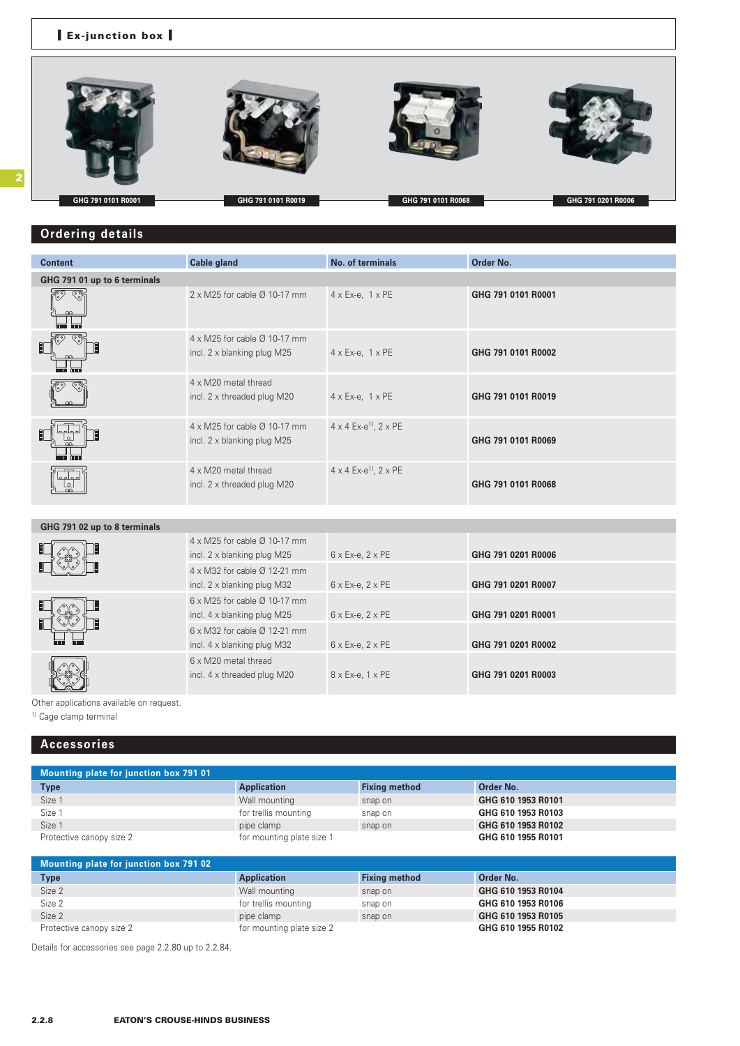### **I Ex-junction box I**



## **Ordering details**

| <b>Content</b>                     | <b>Cable gland</b>                                                             | No. of terminals                                | Order No.          |  |  |  |
|------------------------------------|--------------------------------------------------------------------------------|-------------------------------------------------|--------------------|--|--|--|
| GHG 791 01 up to 6 terminals       |                                                                                |                                                 |                    |  |  |  |
| ্ণু                                | $2 \times M25$ for cable $\varnothing$ 10-17 mm                                | $4 \times Ex-e$ , $1 \times PE$                 | GHG 791 0101 R0001 |  |  |  |
|                                    | 4 x M25 for cable Ø 10-17 mm<br>incl. 2 x blanking plug M25                    | $4 \times Ex-e$ , $1 \times PE$                 | GHG 791 0101 R0002 |  |  |  |
|                                    | 4 x M20 metal thread<br>incl. 2 x threaded plug M20                            | $4 \times Ex-e$ , $1 \times PE$                 | GHG 791 0101 R0019 |  |  |  |
|                                    | $4 \times M25$ for cable $\varnothing$ 10-17 mm<br>incl. 2 x blanking plug M25 | $4 \times 4$ Ex-e <sup>1)</sup> , $2 \times$ PE | GHG 791 0101 R0069 |  |  |  |
| 00 00 00 00<br>$\circ$<br>$\infty$ | 4 x M20 metal thread<br>incl. 2 x threaded plug M20                            | $4 \times 4$ Ex-e <sup>1)</sup> , $2 \times$ PE | GHG 791 0101 R0068 |  |  |  |
|                                    |                                                                                |                                                 |                    |  |  |  |
| GHG 791 02 up to 8 terminals       |                                                                                |                                                 |                    |  |  |  |
|                                    | 4 x M25 for cable Ø 10-17 mm<br>incl. 2 x blanking plug M25                    | $6 \times Ex-e$ , $2 \times PE$                 | GHG 791 0201 R0006 |  |  |  |
|                                    | 4 x M32 for cable Ø 12-21 mm                                                   |                                                 |                    |  |  |  |
|                                    | incl. 2 x blanking plug M32                                                    | $6 \times Ex-e$ , $2 \times PE$                 | GHG 791 0201 R0007 |  |  |  |
|                                    | $6 \times M25$ for cable $\varnothing$ 10-17 mm<br>incl. 4 x blanking plug M25 | $6 \times Ex-e$ , $2 \times PE$                 | GHG 791 0201 R0001 |  |  |  |
|                                    | $6 \times M32$ for cable $\varnothing$ 12-21 mm<br>incl. 4 x blanking plug M32 | $6 \times Ex-e$ , $2 \times PE$                 | GHG 791 0201 R0002 |  |  |  |
|                                    | 6 x M20 metal thread                                                           |                                                 |                    |  |  |  |
|                                    | incl. 4 x threaded plug M20                                                    | 8 x Ex-e, 1 x PE                                | GHG 791 0201 R0003 |  |  |  |

Other applications available on request.

1) Cage clamp terminal

## **Accessories**

| Mounting plate for junction box 791 01 |                           |                      |                    |  |  |
|----------------------------------------|---------------------------|----------------------|--------------------|--|--|
| <b>Type</b>                            | <b>Application</b>        | <b>Fixing method</b> | Order No.          |  |  |
| Size 1                                 | Wall mounting             | snap on              | GHG 610 1953 R0101 |  |  |
| Size 1                                 | for trellis mounting      | snap on              | GHG 610 1953 R0103 |  |  |
| Size 1                                 | pipe clamp                | snap on              | GHG 610 1953 R0102 |  |  |
| Protective canopy size 2               | for mounting plate size 1 |                      | GHG 610 1955 R0101 |  |  |

| Mounting plate for junction box 791 02 |                           |                      |                    |  |  |  |
|----------------------------------------|---------------------------|----------------------|--------------------|--|--|--|
| <b>Type</b>                            | <b>Application</b>        | <b>Fixing method</b> | Order No.          |  |  |  |
| Size 2                                 | Wall mounting             | snap on              | GHG 610 1953 R0104 |  |  |  |
| Size 2                                 | for trellis mounting      | snap on              | GHG 610 1953 R0106 |  |  |  |
| Size 2                                 | pipe clamp                | snap on              | GHG 610 1953 R0105 |  |  |  |
| Protective canopy size 2               | for mounting plate size 2 |                      | GHG 610 1955 R0102 |  |  |  |

Details for accessories see page 2.2.80 up to 2.2.84.